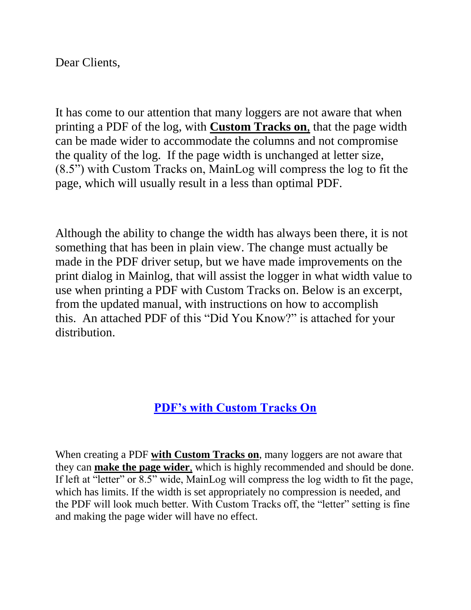## Dear Clients,

It has come to our attention that many loggers are not aware that when printing a PDF of the log, with **Custom Tracks on**, that the page width can be made wider to accommodate the columns and not compromise the quality of the log. If the page width is unchanged at letter size, (8.5") with Custom Tracks on, MainLog will compress the log to fit the page, which will usually result in a less than optimal PDF.

Although the ability to change the width has always been there, it is not something that has been in plain view. The change must actually be made in the PDF driver setup, but we have made improvements on the print dialog in Mainlog, that will assist the logger in what width value to use when printing a PDF with Custom Tracks on. Below is an excerpt, from the updated manual, with instructions on how to accomplish this. An attached PDF of this "Did You Know?" is attached for your distribution.

## **PDF's with Custom Tracks On**

When creating a PDF **with Custom Tracks on**, many loggers are not aware that they can **make the page wider**, which is highly recommended and should be done. If left at "letter" or 8.5" wide, MainLog will compress the log width to fit the page, which has limits. If the width is set appropriately no compression is needed, and the PDF will look much better. With Custom Tracks off, the "letter" setting is fine and making the page wider will have no effect.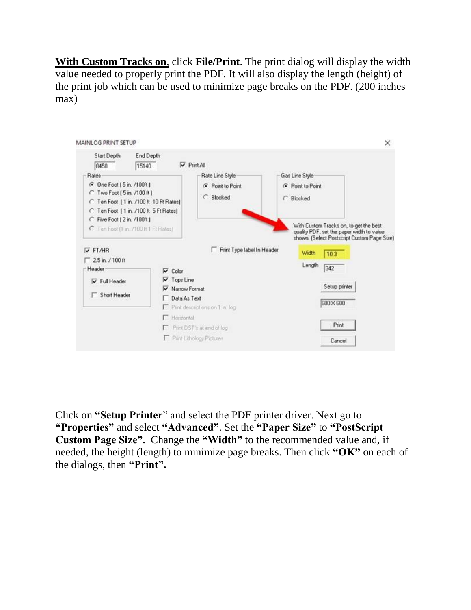**With Custom Tracks on**, click **File/Print**. The print dialog will display the width value needed to properly print the PDF. It will also display the length (height) of the print job which can be used to minimize page breaks on the PDF. (200 inches max)



Click on **"Setup Printer**" and select the PDF printer driver. Next go to **"Properties"** and select **"Advanced"**. Set the **"Paper Size"** to **"PostScript Custom Page Size".** Change the **"Width"** to the recommended value and, if needed, the height (length) to minimize page breaks. Then click **"OK"** on each of the dialogs, then **"Print".**